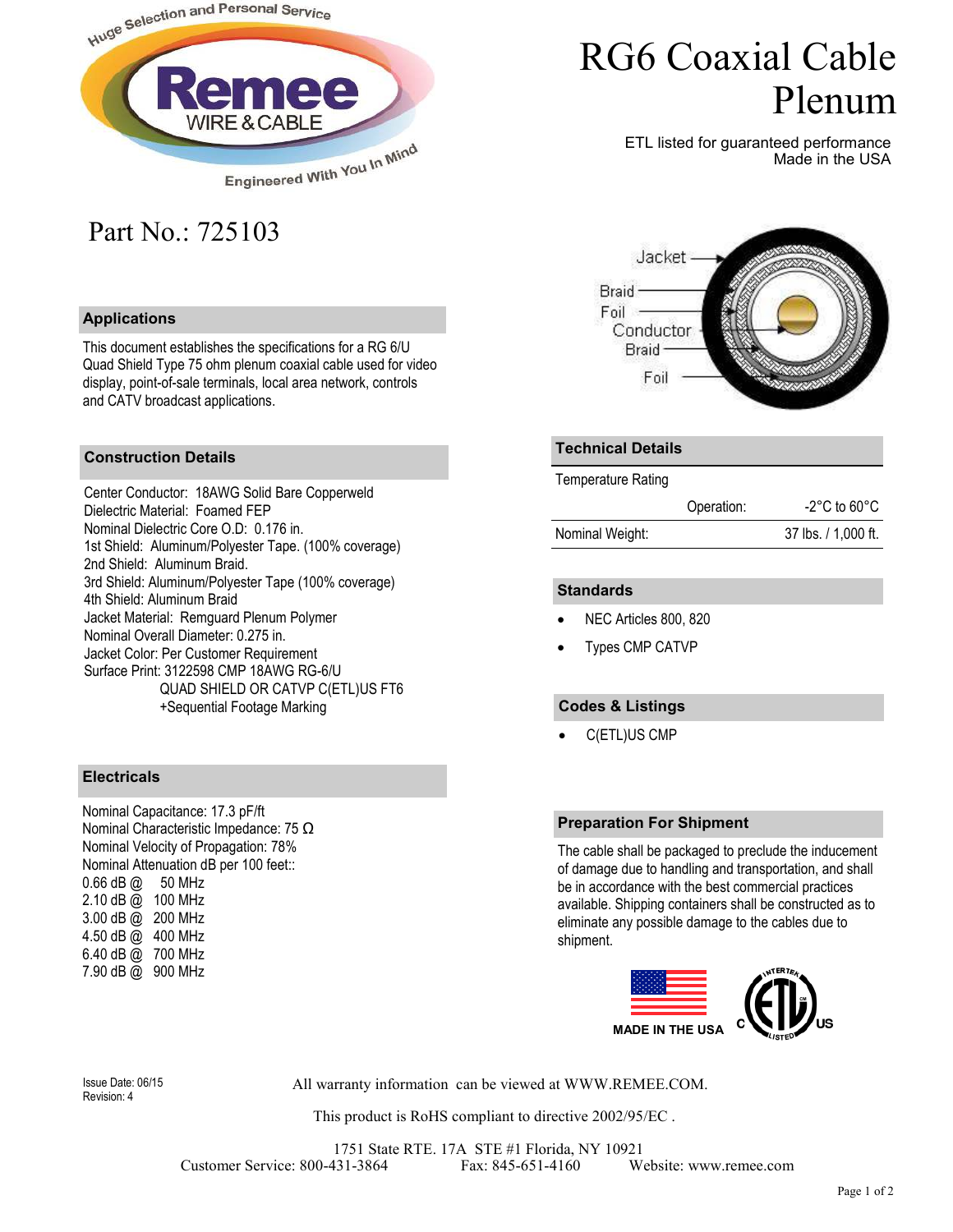

# RG6 Coaxial Cable Plenum

ETL listed for guaranteed performance Made in the USA

# Part No.: 725103

## **Applications**

This document establishes the specifications for a RG 6/U Quad Shield Type 75 ohm plenum coaxial cable used for video display, point-of-sale terminals, local area network, controls and CATV broadcast applications.

## **Construction Details**

Center Conductor: 18AWG Solid Bare Copperweld Dielectric Material: Foamed FEP Nominal Dielectric Core O.D: 0.176 in. 1st Shield: Aluminum/Polyester Tape. (100% coverage) 2nd Shield: Aluminum Braid. 3rd Shield: Aluminum/Polyester Tape (100% coverage) 4th Shield: Aluminum Braid Jacket Material: Remguard Plenum Polymer Nominal Overall Diameter: 0.275 in. Jacket Color: Per Customer Requirement Surface Print: 3122598 CMP 18AWG RG-6/U QUAD SHIELD OR CATVP C(ETL)US FT6 +Sequential Footage Marking

#### **Electricals**

Nominal Capacitance: 17.3 pF/ft Nominal Characteristic Impedance: 75 Ω Nominal Velocity of Propagation: 78% Nominal Attenuation dB per 100 feet::  $0.66$  dB  $@$  50 MHz 2.10 dB @ 100 MHz 3.00 dB @ 200 MHz 4.50 dB @ 400 MHz 6.40 dB @ 700 MHz 7.90 dB @ 900 MHz



#### **Technical Details**

Temperature Rating

|                 | Operation: | $-2^{\circ}$ C to 60 $^{\circ}$ C |
|-----------------|------------|-----------------------------------|
| Nominal Weight: |            | 37 lbs. / 1,000 ft.               |

#### **Standards**

- NEC Articles 800, 820
- Types CMP CATVP

## **Codes & Listings**

• C(ETL)US CMP

#### **Preparation For Shipment**

The cable shall be packaged to preclude the inducement of damage due to handling and transportation, and shall be in accordance with the best commercial practices available. Shipping containers shall be constructed as to eliminate any possible damage to the cables due to shipment.



Revision: 4

Issue Date: 06/15 All warranty information can be viewed at WWW.REMEE.COM.

This product is RoHS compliant to directive 2002/95/EC .

1751 State RTE. 17A STE #1 Florida, NY 10921 Customer Service: 800-431-3864 Fax: 845-651-4160 Website: www.remee.com